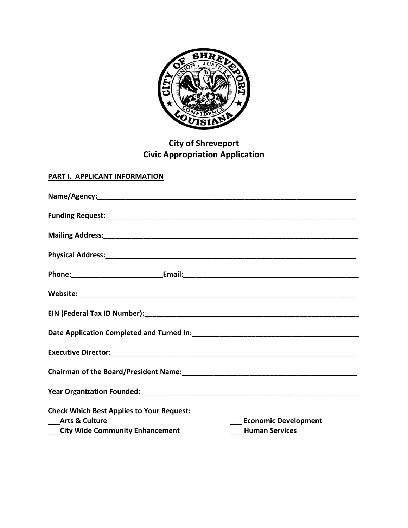

# **City of Shreveport Civic Appropriation Application**

# **PART I. APPLICANT INFORMATION**

| <b>Check Which Best Applies to Your Request:</b><br>__Arts & Culture |  | <b>Economic Development</b> |
|----------------------------------------------------------------------|--|-----------------------------|
| __City Wide Community Enhancement                                    |  | <b>Human Services</b>       |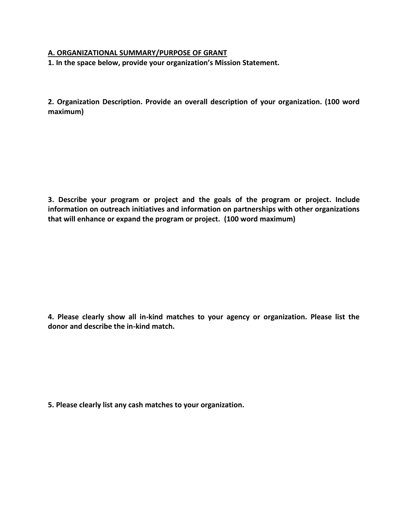#### **A. ORGANIZATIONAL SUMMARY/PURPOSE OF GRANT**

**1. In the space below, provide your organization's Mission Statement.**

**2. Organization Description. Provide an overall description of your organization. (100 word maximum)**

**3. Describe your program or project and the goals of the program or project. Include information on outreach initiatives and information on partnerships with other organizations that will enhance or expand the program or project. (100 word maximum)**

**4. Please clearly show all in-kind matches to your agency or organization. Please list the donor and describe the in-kind match.** 

**5. Please clearly list any cash matches to your organization.**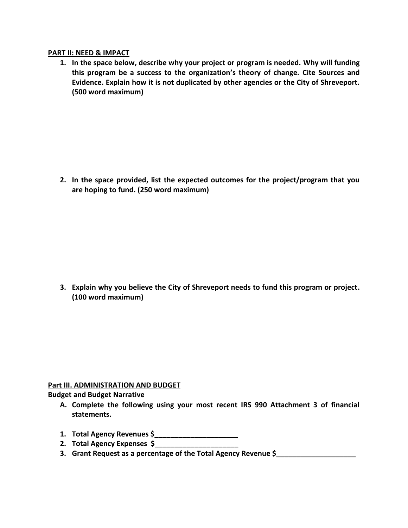#### **PART II: NEED & IMPACT**

**1. In the space below, describe why your project or program is needed. Why will funding this program be a success to the organization's theory of change. Cite Sources and Evidence. Explain how it is not duplicated by other agencies or the City of Shreveport. (500 word maximum)**

**2. In the space provided, list the expected outcomes for the project/program that you are hoping to fund. (250 word maximum)**

**3. Explain why you believe the City of Shreveport needs to fund this program or project. (100 word maximum)**

## **Part III. ADMINISTRATION AND BUDGET**

## **Budget and Budget Narrative**

- **A. Complete the following using your most recent IRS 990 Attachment 3 of financial statements.**
- **1. Total Agency Revenues \$\_\_\_\_\_\_\_\_\_\_\_\_\_\_\_\_\_\_\_\_\_**
- **2. Total Agency Expenses \$\_\_\_\_\_\_\_\_\_\_\_\_\_\_\_\_\_\_\_\_\_**
- **3. Grant Request as a percentage of the Total Agency Revenue \$\_\_\_\_\_\_\_\_\_\_\_\_\_\_\_\_\_\_\_\_**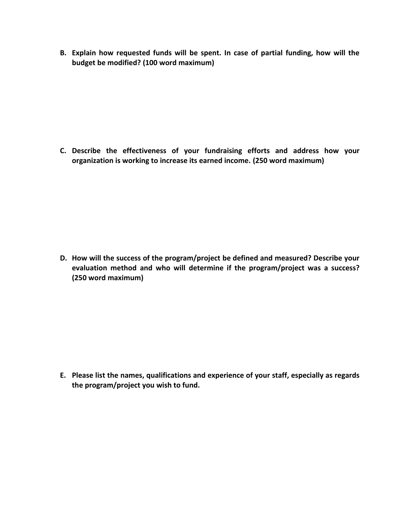**B. Explain how requested funds will be spent. In case of partial funding, how will the budget be modified? (100 word maximum)**

**C. Describe the effectiveness of your fundraising efforts and address how your organization is working to increase its earned income. (250 word maximum)**

**D. How will the success of the program/project be defined and measured? Describe your evaluation method and who will determine if the program/project was a success? (250 word maximum)**

**E. Please list the names, qualifications and experience of your staff, especially as regards the program/project you wish to fund.**